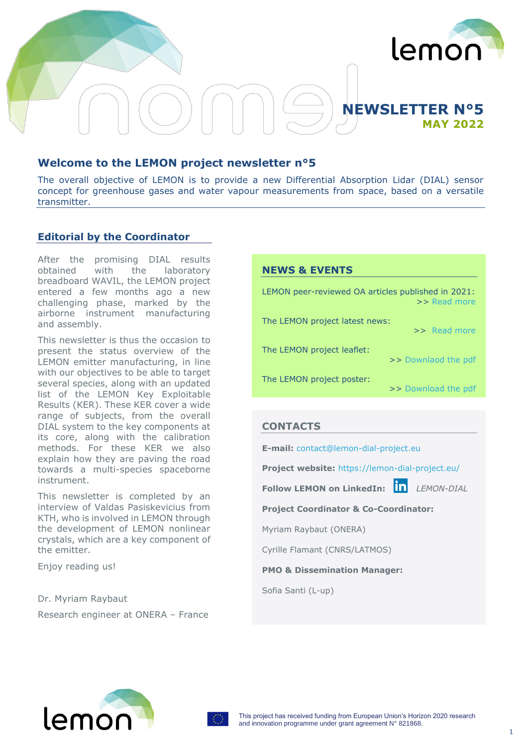

# **NEWSLETTER N°5 MAY 2022**

## **Welcome to the LEMON project newsletter n°5**

The overall objective of LEMON is to provide a new Differential Absorption Lidar (DIAL) sensor concept for greenhouse gases and water vapour measurements from space, based on a versatile transmitter.

### **Editorial by the Coordinator**

After the promising DIAL results obtained with the laboratory breadboard WAVIL, the LEMON project entered a few months ago a new challenging phase, marked by the airborne instrument manufacturing and assembly.

This newsletter is thus the occasion to present the status overview of the LEMON emitter manufacturing, in line with our objectives to be able to target several species, along with an updated list of the LEMON Key Exploitable Results (KER). These KER cover a wide range of subjects, from the overall DIAL system to the key components at its core, along with the calibration methods. For these KER we also explain how they are paving the road towards a multi-species spaceborne instrument.

This newsletter is completed by an interview of Valdas Pasiskevicius from KTH, who is involved in LEMON through the development of LEMON nonlinear crystals, which are a key component of the emitter.

Enjoy reading us!

Dr. Myriam Raybaut Research engineer at ONERA – France

### **NEWS & EVENTS**

LEMON peer-reviewed OA articles published in 2021: >> [Read more](https://lemon-dial-project.eu/four-lemon-peer-reviewed-papers-published-in-2021-and-available-in-open-access/) The LEMON project latest news: >> [Read more](https://lemon-dial-project.eu/accueil/news-events/) The LEMON project leaflet:

The LEMON project poster:

>> [Download the pdf](https://lemon-dial-project.eu/wp-content/themes/lemon/images/LEMON_Poster_80-120.pdf)

>> [Downlaod the pdf](https://lemon-dial-project.eu/wp-content/themes/lemon/images/Lemon-leaflet_Ldef.pdf)

## **CONTACTS**

**E-mail:** [contact@lemon-dial-project.eu](mailto:contact@lemon-dial-project.eu) 

**Project website:** <https://lemon-dial-project.eu/>

**Follow LEMON on LinkedIn:** *LEMON-DIAL*

**Project Coordinator & Co-Coordinator:**

Myriam Raybaut (ONERA)

Cyrille Flamant (CNRS/LATMOS)

**PMO & Dissemination Manager:**

Sofia Santi (L-up)



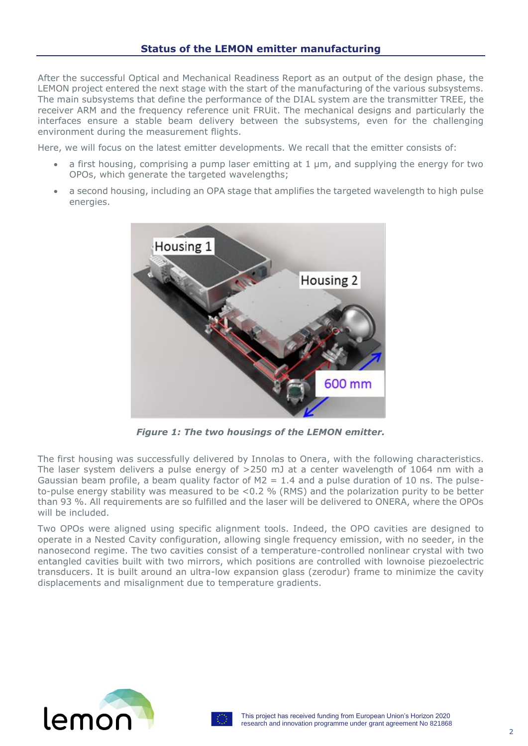After the successful Optical and Mechanical Readiness Report as an output of the design phase, the LEMON project entered the next stage with the start of the manufacturing of the various subsystems. The main subsystems that define the performance of the DIAL system are the transmitter TREE, the receiver ARM and the frequency reference unit FRUit. The mechanical designs and particularly the interfaces ensure a stable beam delivery between the subsystems, even for the challenging environment during the measurement flights.

Here, we will focus on the latest emitter developments. We recall that the emitter consists of:

- a first housing, comprising a pump laser emitting at  $1 \mu$ m, and supplying the energy for two OPOs, which generate the targeted wavelengths;
- a second housing, including an OPA stage that amplifies the targeted wavelength to high pulse energies.



*Figure 1: The two housings of the LEMON emitter.*

The first housing was successfully delivered by Innolas to Onera, with the following characteristics. The laser system delivers a pulse energy of >250 mJ at a center wavelength of 1064 nm with a Gaussian beam profile, a beam quality factor of  $M2 = 1.4$  and a pulse duration of 10 ns. The pulseto-pulse energy stability was measured to be <0.2 % (RMS) and the polarization purity to be better than 93 %. All requirements are so fulfilled and the laser will be delivered to ONERA, where the OPOs will be included.

Two OPOs were aligned using specific alignment tools. Indeed, the OPO cavities are designed to operate in a Nested Cavity configuration, allowing single frequency emission, with no seeder, in the nanosecond regime. The two cavities consist of a temperature-controlled nonlinear crystal with two entangled cavities built with two mirrors, which positions are controlled with lownoise piezoelectric transducers. It is built around an ultra-low expansion glass (zerodur) frame to minimize the cavity displacements and misalignment due to temperature gradients.



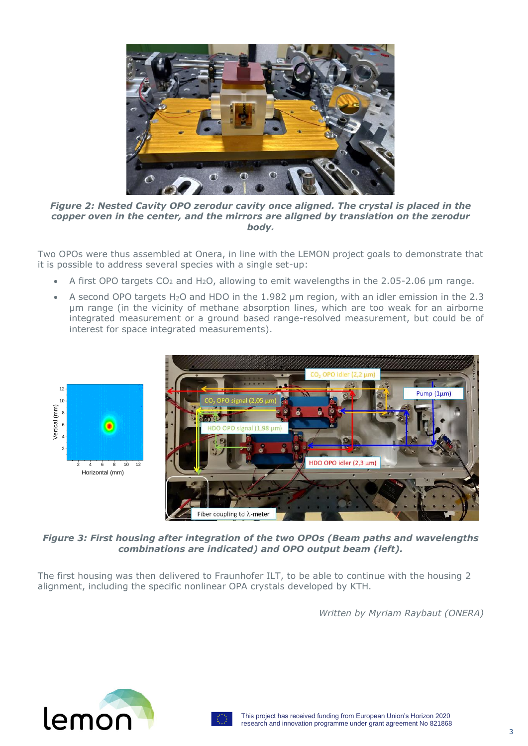

*Figure 2: Nested Cavity OPO zerodur cavity once aligned. The crystal is placed in the copper oven in the center, and the mirrors are aligned by translation on the zerodur body.*

Two OPOs were thus assembled at Onera, in line with the LEMON project goals to demonstrate that it is possible to address several species with a single set-up:

- A first OPO targets  $CO<sub>2</sub>$  and H<sub>2</sub>O, allowing to emit wavelengths in the 2.05-2.06 µm range.
- A second OPO targets H<sub>2</sub>O and HDO in the 1.982 um region, with an idler emission in the 2.3 µm range (in the vicinity of methane absorption lines, which are too weak for an airborne integrated measurement or a ground based range-resolved measurement, but could be of interest for space integrated measurements).



*Figure 3: First housing after integration of the two OPOs (Beam paths and wavelengths combinations are indicated) and OPO output beam (left).*

The first housing was then delivered to Fraunhofer ILT, to be able to continue with the housing 2 alignment, including the specific nonlinear OPA crystals developed by KTH.

*Written by Myriam Raybaut (ONERA)*



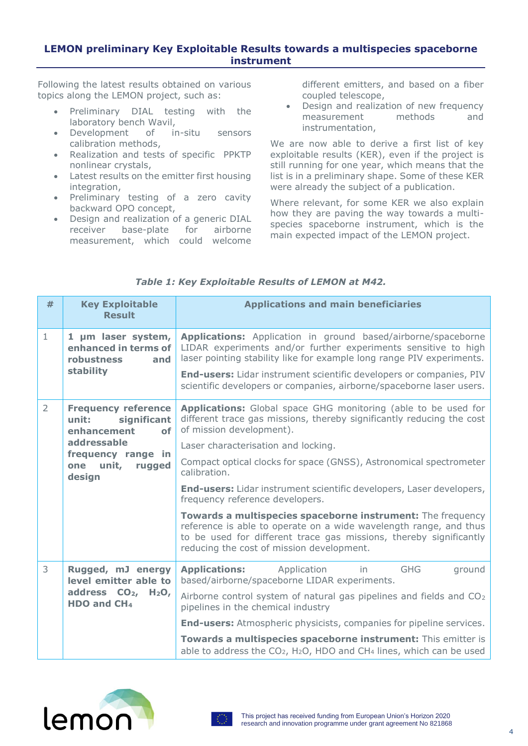## **LEMON preliminary Key Exploitable Results towards a multispecies spaceborne instrument**

Following the latest results obtained on various topics along the LEMON project, such as:

- Preliminary DIAL testing with the laboratory bench Wavil,
- Development of in-situ sensors calibration methods,
- Realization and tests of specific PPKTP nonlinear crystals,
- Latest results on the emitter first housing integration,
- Preliminary testing of a zero cavity backward OPO concept,
- Design and realization of a generic DIAL receiver base-plate for airborne measurement, which could welcome

different emitters, and based on a fiber coupled telescope,

• Design and realization of new frequency measurement methods and instrumentation,

We are now able to derive a first list of key exploitable results (KER), even if the project is still running for one year, which means that the list is in a preliminary shape. Some of these KER were already the subject of a publication.

Where relevant, for some KER we also explain how they are paving the way towards a multispecies spaceborne instrument, which is the main expected impact of the LEMON project.

| #              | <b>Key Exploitable</b><br><b>Result</b>                                                                                                              | <b>Applications and main beneficiaries</b>                                                                                                                                                                                                                                                                                                                                                                                                                                                                                                                                                                                                                                       |
|----------------|------------------------------------------------------------------------------------------------------------------------------------------------------|----------------------------------------------------------------------------------------------------------------------------------------------------------------------------------------------------------------------------------------------------------------------------------------------------------------------------------------------------------------------------------------------------------------------------------------------------------------------------------------------------------------------------------------------------------------------------------------------------------------------------------------------------------------------------------|
| $\mathbf{1}$   | 1 µm laser system,<br>enhanced in terms of<br>robustness<br>and<br>stability                                                                         | Applications: Application in ground based/airborne/spaceborne<br>LIDAR experiments and/or further experiments sensitive to high<br>laser pointing stability like for example long range PIV experiments.<br>End-users: Lidar instrument scientific developers or companies, PIV<br>scientific developers or companies, airborne/spaceborne laser users.                                                                                                                                                                                                                                                                                                                          |
| $\overline{2}$ | <b>Frequency reference</b><br>unit:<br>significant<br>enhancement<br><b>of</b><br>addressable<br>frequency range in<br>one unit,<br>rugged<br>design | <b>Applications:</b> Global space GHG monitoring (able to be used for<br>different trace gas missions, thereby significantly reducing the cost<br>of mission development).<br>Laser characterisation and locking.<br>Compact optical clocks for space (GNSS), Astronomical spectrometer<br>calibration.<br><b>End-users:</b> Lidar instrument scientific developers, Laser developers,<br>frequency reference developers.<br>Towards a multispecies spaceborne instrument: The frequency<br>reference is able to operate on a wide wavelength range, and thus<br>to be used for different trace gas missions, thereby significantly<br>reducing the cost of mission development. |
| 3              | Rugged, mJ energy<br>level emitter able to<br>address $CO2$ , H <sub>2</sub> O <sub>,</sub><br>HDO and CH <sub>4</sub>                               | <b>Applications:</b> Application<br><b>GHG</b><br>ground<br>in<br>based/airborne/spaceborne LIDAR experiments.<br>Airborne control system of natural gas pipelines and fields and CO <sub>2</sub><br>pipelines in the chemical industry<br><b>End-users:</b> Atmospheric physicists, companies for pipeline services.<br>Towards a multispecies spaceborne instrument: This emitter is<br>able to address the CO <sub>2</sub> , H <sub>2</sub> O, HDO and CH <sub>4</sub> lines, which can be used                                                                                                                                                                               |

## *Table 1: Key Exploitable Results of LEMON at M42.*



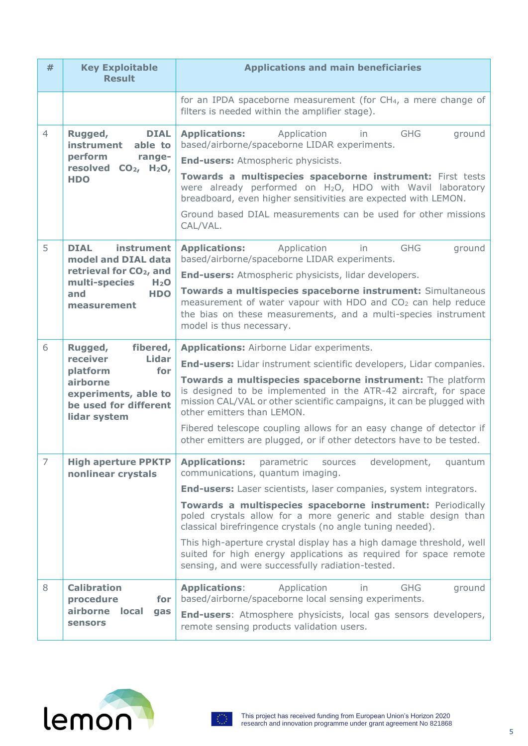| #                   | <b>Key Exploitable</b><br><b>Result</b>                                                                                                                          | <b>Applications and main beneficiaries</b>                                                                                                                                                                                                                                                                                                                                                                                                                                                                                                                                                                                                                  |
|---------------------|------------------------------------------------------------------------------------------------------------------------------------------------------------------|-------------------------------------------------------------------------------------------------------------------------------------------------------------------------------------------------------------------------------------------------------------------------------------------------------------------------------------------------------------------------------------------------------------------------------------------------------------------------------------------------------------------------------------------------------------------------------------------------------------------------------------------------------------|
|                     |                                                                                                                                                                  | for an IPDA spaceborne measurement (for CH <sub>4</sub> , a mere change of<br>filters is needed within the amplifier stage).                                                                                                                                                                                                                                                                                                                                                                                                                                                                                                                                |
| $\overline{4}$      | Rugged,<br><b>DIAL</b><br>instrument<br>able to<br>perform<br>range-<br>resolved CO <sub>2</sub> , H <sub>2</sub> O,<br><b>HDO</b>                               | <b>GHG</b><br><b>Applications:</b><br>Application<br>ground<br>in.<br>based/airborne/spaceborne LIDAR experiments.<br><b>End-users:</b> Atmospheric physicists.<br>Towards a multispecies spaceborne instrument: First tests<br>were already performed on H <sub>2</sub> O, HDO with Wavil laboratory<br>breadboard, even higher sensitivities are expected with LEMON.<br>Ground based DIAL measurements can be used for other missions<br>CAL/VAL.                                                                                                                                                                                                        |
| 5                   | instrument<br><b>DIAL</b><br>model and DIAL data<br>retrieval for CO <sub>2</sub> , and<br>multi-species<br>H <sub>2</sub> O<br><b>HDO</b><br>and<br>measurement | <b>Applications:</b> Application<br><b>GHG</b><br>ground<br>in<br>based/airborne/spaceborne LIDAR experiments.<br><b>End-users:</b> Atmospheric physicists, lidar developers.<br>Towards a multispecies spaceborne instrument: Simultaneous<br>measurement of water vapour with HDO and CO <sub>2</sub> can help reduce<br>the bias on these measurements, and a multi-species instrument<br>model is thus necessary.                                                                                                                                                                                                                                       |
| 6                   | Rugged,<br>fibered,<br>receiver<br><b>Lidar</b><br>platform<br>for<br>airborne<br>experiments, able to<br>be used for different<br>lidar system                  | <b>Applications: Airborne Lidar experiments.</b><br><b>End-users:</b> Lidar instrument scientific developers, Lidar companies.<br>Towards a multispecies spaceborne instrument: The platform<br>is designed to be implemented in the ATR-42 aircraft, for space<br>mission CAL/VAL or other scientific campaigns, it can be plugged with<br>other emitters than LEMON.<br>Fibered telescope coupling allows for an easy change of detector if<br>other emitters are plugged, or if other detectors have to be tested.                                                                                                                                       |
| $\overline{7}$<br>8 | <b>High aperture PPKTP</b><br>nonlinear crystals<br><b>Calibration</b>                                                                                           | <b>Applications:</b><br>development,<br>parametric<br>sources<br>quantum<br>communications, quantum imaging.<br><b>End-users:</b> Laser scientists, laser companies, system integrators.<br>Towards a multispecies spaceborne instrument: Periodically<br>poled crystals allow for a more generic and stable design than<br>classical birefringence crystals (no angle tuning needed).<br>This high-aperture crystal display has a high damage threshold, well<br>suited for high energy applications as required for space remote<br>sensing, and were successfully radiation-tested.<br><b>GHG</b><br><b>Applications:</b><br>Application<br>in<br>ground |
|                     | procedure<br>for<br>airborne<br>local<br>gas<br><b>sensors</b>                                                                                                   | based/airborne/spaceborne local sensing experiments.<br>End-users: Atmosphere physicists, local gas sensors developers,<br>remote sensing products validation users.                                                                                                                                                                                                                                                                                                                                                                                                                                                                                        |



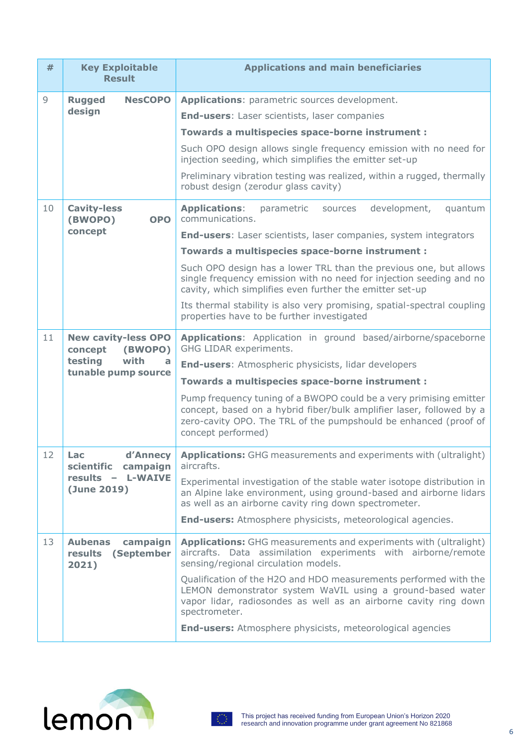| #               | <b>Key Exploitable</b><br><b>Result</b>                                                         | <b>Applications and main beneficiaries</b>                                                                                                                                                                                           |
|-----------------|-------------------------------------------------------------------------------------------------|--------------------------------------------------------------------------------------------------------------------------------------------------------------------------------------------------------------------------------------|
| $\overline{9}$  | <b>Rugged</b><br><b>NesCOPO</b><br>design                                                       | Applications: parametric sources development.                                                                                                                                                                                        |
|                 |                                                                                                 | <b>End-users:</b> Laser scientists, laser companies                                                                                                                                                                                  |
|                 |                                                                                                 | Towards a multispecies space-borne instrument :                                                                                                                                                                                      |
|                 |                                                                                                 | Such OPO design allows single frequency emission with no need for<br>injection seeding, which simplifies the emitter set-up                                                                                                          |
|                 |                                                                                                 | Preliminary vibration testing was realized, within a rugged, thermally<br>robust design (zerodur glass cavity)                                                                                                                       |
| 10              | <b>Cavity-less</b><br>(BWOPO)<br><b>OPO</b><br>concept                                          | <b>Applications:</b><br>development,<br>parametric<br>sources<br>quantum<br>communications.                                                                                                                                          |
|                 |                                                                                                 | <b>End-users:</b> Laser scientists, laser companies, system integrators                                                                                                                                                              |
|                 |                                                                                                 | Towards a multispecies space-borne instrument :                                                                                                                                                                                      |
|                 |                                                                                                 | Such OPO design has a lower TRL than the previous one, but allows<br>single frequency emission with no need for injection seeding and no<br>cavity, which simplifies even further the emitter set-up                                 |
|                 |                                                                                                 | Its thermal stability is also very promising, spatial-spectral coupling<br>properties have to be further investigated                                                                                                                |
| 11              | <b>New cavity-less OPO</b><br>concept<br>(BWOPO)<br>testing<br>with<br>a<br>tunable pump source | Applications: Application in ground based/airborne/spaceborne<br>GHG LIDAR experiments.                                                                                                                                              |
|                 |                                                                                                 | <b>End-users: Atmospheric physicists, lidar developers</b>                                                                                                                                                                           |
|                 |                                                                                                 | Towards a multispecies space-borne instrument :                                                                                                                                                                                      |
|                 |                                                                                                 | Pump frequency tuning of a BWOPO could be a very primising emitter<br>concept, based on a hybrid fiber/bulk amplifier laser, followed by a<br>zero-cavity OPO. The TRL of the pumpshould be enhanced (proof of<br>concept performed) |
| 12 <sup>7</sup> | Lac<br>d'Annecy<br>scientific<br>campaign<br>results - L-WAIVE<br>(June 2019)                   | Applications: GHG measurements and experiments with (ultralight)<br>aircrafts.                                                                                                                                                       |
|                 |                                                                                                 | Experimental investigation of the stable water isotope distribution in<br>an Alpine lake environment, using ground-based and airborne lidars<br>as well as an airborne cavity ring down spectrometer.                                |
|                 |                                                                                                 | <b>End-users:</b> Atmosphere physicists, meteorological agencies.                                                                                                                                                                    |
| 13              | <b>Aubenas</b><br>campaign<br>results<br>(September<br>2021)                                    | Applications: GHG measurements and experiments with (ultralight)<br>aircrafts. Data assimilation experiments with airborne/remote<br>sensing/regional circulation models.                                                            |
|                 |                                                                                                 | Qualification of the H2O and HDO measurements performed with the<br>LEMON demonstrator system WaVIL using a ground-based water<br>vapor lidar, radiosondes as well as an airborne cavity ring down<br>spectrometer.                  |
|                 |                                                                                                 | <b>End-users:</b> Atmosphere physicists, meteorological agencies                                                                                                                                                                     |



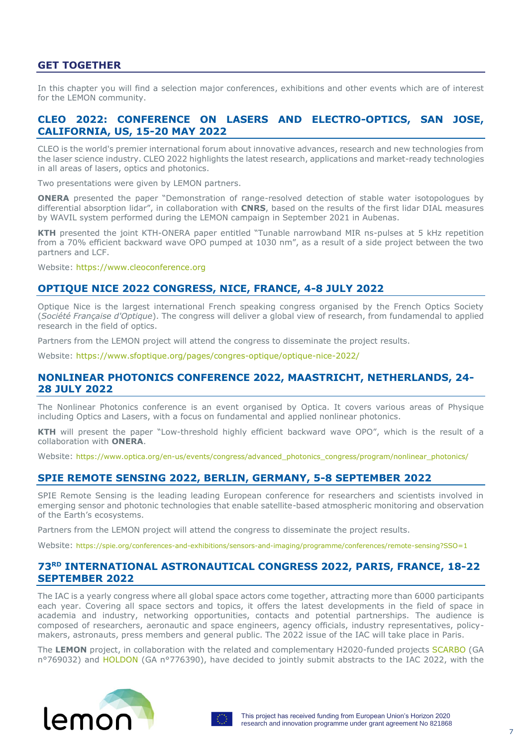## **GET TOGETHER**

In this chapter you will find a selection major conferences, exhibitions and other events which are of interest for the LEMON community.

#### **CLEO 2022: CONFERENCE ON LASERS AND ELECTRO-OPTICS, SAN JOSE, CALIFORNIA, US, 15-20 MAY 2022**

CLEO is the world's premier international forum about innovative advances, research and new technologies from the laser science industry. CLEO 2022 highlights the latest research, applications and market-ready technologies in all areas of lasers, optics and photonics.

Two presentations were given by LEMON partners.

**ONERA** presented the paper "Demonstration of range-resolved detection of stable water isotopologues by differential absorption lidar", in collaboration with **CNRS**, based on the results of the first lidar DIAL measures by WAVIL system performed during the LEMON campaign in September 2021 in Aubenas.

**KTH** presented the joint KTH-ONERA paper entitled "Tunable narrowband MIR ns-pulses at 5 kHz repetition from a 70% efficient backward wave OPO pumped at 1030 nm", as a result of a side project between the two partners and LCF.

Website: [https://www.cleoconference.org](https://www.cleoconference.org/)

### **OPTIQUE NICE 2022 CONGRESS, NICE, FRANCE, 4-8 JULY 2022**

Optique Nice is the largest international French speaking congress organised by the French Optics Society (*Société Française d'Optique*). The congress will deliver a global view of research, from fundamendal to applied research in the field of optics.

Partners from the LEMON project will attend the congress to disseminate the project results.

Website:<https://www.sfoptique.org/pages/congres-optique/optique-nice-2022/>

#### **NONLINEAR PHOTONICS CONFERENCE 2022, MAASTRICHT, NETHERLANDS, 24- 28 JULY 2022**

The Nonlinear Photonics conference is an event organised by Optica. It covers various areas of Physique including Optics and Lasers, with a focus on fundamental and applied nonlinear photonics.

**KTH** will present the paper "Low-threshold highly efficient backward wave OPO", which is the result of a collaboration with **ONERA**.

Website: [https://www.optica.org/en-us/events/congress/advanced\\_photonics\\_congress/program/nonlinear\\_photonics/](https://www.optica.org/en-us/events/congress/advanced_photonics_congress/program/nonlinear_photonics/)

### **SPIE REMOTE SENSING 2022, BERLIN, GERMANY, 5-8 SEPTEMBER 2022**

SPIE Remote Sensing is the leading leading European conference for researchers and scientists involved in emerging sensor and photonic technologies that enable satellite-based atmospheric monitoring and observation of the Earth's ecosystems.

Partners from the LEMON project will attend the congress to disseminate the project results.

Website: <https://spie.org/conferences-and-exhibitions/sensors-and-imaging/programme/conferences/remote-sensing?SSO=1>

### **73RD INTERNATIONAL ASTRONAUTICAL CONGRESS 2022, PARIS, FRANCE, 18-22 SEPTEMBER 2022**

The IAC is a yearly congress where all global space actors come together, attracting more than 6000 participants each year. Covering all space sectors and topics, it offers the latest developments in the field of space in academia and industry, networking opportunities, contacts and potential partnerships. The audience is composed of researchers, aeronautic and space engineers, agency officials, industry representatives, policymakers, astronauts, press members and general public. The 2022 issue of the IAC will take place in Paris.

The **LEMON** project, in collaboration with the related and complementary H2020-funded projects [SCARBO](https://cordis.europa.eu/project/id/769032/fr) (GA n°769032) and [HOLDON](https://cordis.europa.eu/project/id/776390/fr) (GA n°776390), have decided to jointly submit abstracts to the IAC 2022, with the



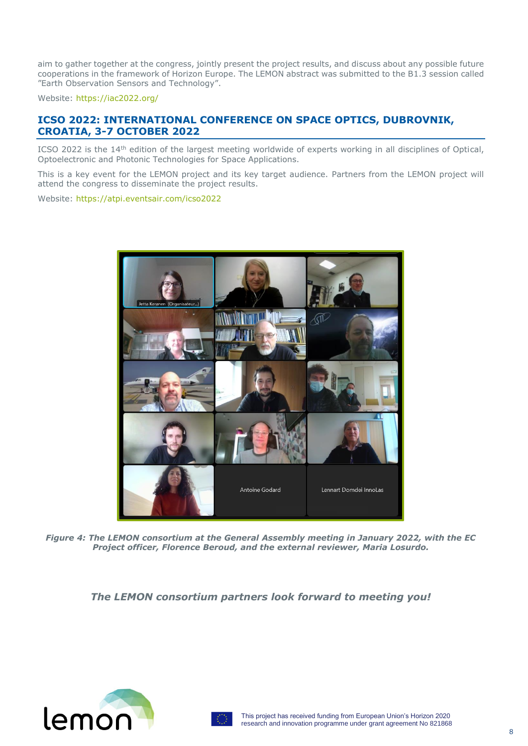aim to gather together at the congress, jointly present the project results, and discuss about any possible future cooperations in the framework of Horizon Europe. The LEMON abstract was submitted to the B1.3 session called "Earth Observation Sensors and Technology".

Website:<https://iac2022.org/>

## **ICSO 2022: INTERNATIONAL CONFERENCE ON SPACE OPTICS, DUBROVNIK, CROATIA, 3-7 OCTOBER 2022**

ICSO 2022 is the 14<sup>th</sup> edition of the largest meeting worldwide of experts working in all disciplines of Optical, Optoelectronic and Photonic Technologies for Space Applications.

This is a key event for the LEMON project and its key target audience. Partners from the LEMON project will attend the congress to disseminate the project results.

Website:<https://atpi.eventsair.com/icso2022>



*Figure 4: The LEMON consortium at the General Assembly meeting in January 2022, with the EC Project officer, Florence Beroud, and the external reviewer, Maria Losurdo.*

*The LEMON consortium partners look forward to meeting you!*



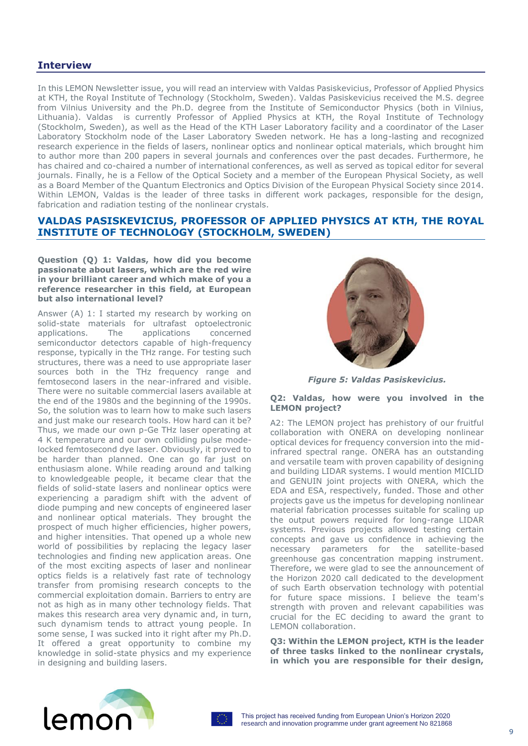## **Interview**

In this LEMON Newsletter issue, you will read an interview with Valdas Pasiskevicius, Professor of Applied Physics at KTH, the Royal Institute of Technology (Stockholm, Sweden). Valdas Pasiskevicius received the M.S. degree from Vilnius University and the Ph.D. degree from the Institute of Semiconductor Physics (both in Vilnius, Lithuania). Valdas is currently Professor of Applied Physics at KTH, the Royal Institute of Technology (Stockholm, Sweden), as well as the Head of the KTH Laser Laboratory facility and a coordinator of the Laser Laboratory Stockholm node of the Laser Laboratory Sweden network. He has a long-lasting and recognized research experience in the fields of lasers, nonlinear optics and nonlinear optical materials, which brought him to author more than 200 papers in several journals and conferences over the past decades. Furthermore, he has chaired and co-chaired a number of international conferences, as well as served as topical editor for several journals. Finally, he is a Fellow of the Optical Society and a member of the European Physical Society, as well as a Board Member of the Quantum Electronics and Optics Division of the European Physical Society since 2014. Within LEMON, Valdas is the leader of three tasks in different work packages, responsible for the design, fabrication and radiation testing of the nonlinear crystals.

### **VALDAS PASISKEVICIUS, PROFESSOR OF APPLIED PHYSICS AT KTH, THE ROYAL INSTITUTE OF TECHNOLOGY (STOCKHOLM, SWEDEN)**

#### **Question (Q) 1: Valdas, how did you become passionate about lasers, which are the red wire in your brilliant career and which make of you a reference researcher in this field, at European but also international level?**

Answer (A) 1: I started my research by working on solid-state materials for ultrafast optoelectronic applications. The applications concerned semiconductor detectors capable of high-frequency response, typically in the THz range. For testing such structures, there was a need to use appropriate laser sources both in the THz frequency range and femtosecond lasers in the near-infrared and visible. There were no suitable commercial lasers available at the end of the 1980s and the beginning of the 1990s. So, the solution was to learn how to make such lasers and just make our research tools. How hard can it be? Thus, we made our own p-Ge THz laser operating at 4 K temperature and our own colliding pulse modelocked femtosecond dye laser. Obviously, it proved to be harder than planned. One can go far just on enthusiasm alone. While reading around and talking to knowledgeable people, it became clear that the fields of solid-state lasers and nonlinear optics were experiencing a paradigm shift with the advent of diode pumping and new concepts of engineered laser and nonlinear optical materials. They brought the prospect of much higher efficiencies, higher powers, and higher intensities. That opened up a whole new world of possibilities by replacing the legacy laser technologies and finding new application areas. One of the most exciting aspects of laser and nonlinear optics fields is a relatively fast rate of technology transfer from promising research concepts to the commercial exploitation domain. Barriers to entry are not as high as in many other technology fields. That makes this research area very dynamic and, in turn, such dynamism tends to attract young people. In some sense, I was sucked into it right after my Ph.D. It offered a great opportunity to combine my knowledge in solid-state physics and my experience in designing and building lasers.



*Figure 5: Valdas Pasiskevicius.*

#### **Q2: Valdas, how were you involved in the LEMON project?**

A2: The LEMON project has prehistory of our fruitful collaboration with ONERA on developing nonlinear optical devices for frequency conversion into the midinfrared spectral range. ONERA has an outstanding and versatile team with proven capability of designing and building LIDAR systems. I would mention MICLID and GENUIN joint projects with ONERA, which the EDA and ESA, respectively, funded. Those and other projects gave us the impetus for developing nonlinear material fabrication processes suitable for scaling up the output powers required for long-range LIDAR systems. Previous projects allowed testing certain concepts and gave us confidence in achieving the necessary parameters for the satellite-based greenhouse gas concentration mapping instrument. Therefore, we were glad to see the announcement of the Horizon 2020 call dedicated to the development of such Earth observation technology with potential for future space missions. I believe the team's strength with proven and relevant capabilities was crucial for the EC deciding to award the grant to LEMON collaboration.

**Q3: Within the LEMON project, KTH is the leader of three tasks linked to the nonlinear crystals, in which you are responsible for their design,**